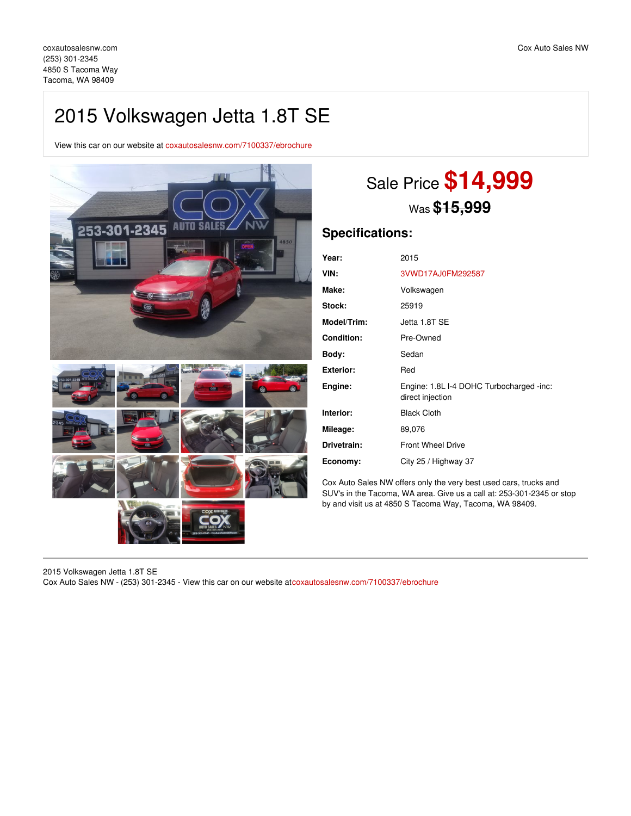## 2015 Volkswagen Jetta 1.8T SE

View this car on our website at [coxautosalesnw.com/7100337/ebrochure](https://coxautosalesnw.com/vehicle/7100337/2015-volkswagen-jetta-1-8t-se-tacoma-wa-98409/7100337/ebrochure)



# Sale Price **\$14,999** Was **\$15,999**

## **Specifications:**

| Year:              | 2015                                                         |
|--------------------|--------------------------------------------------------------|
| VIN:               | 3VWD17AJ0FM292587                                            |
| Make:              | Volkswagen                                                   |
| <b>Stock:</b>      | 25919                                                        |
| <b>Model/Trim:</b> | Jetta 1.8T SE                                                |
| <b>Condition:</b>  | Pre-Owned                                                    |
| Body:              | Sedan                                                        |
| Exterior:          | Red                                                          |
| Engine:            | Engine: 1.8L I-4 DOHC Turbocharged -inc:<br>direct injection |
| Interior:          | <b>Black Cloth</b>                                           |
| Mileage:           | 89,076                                                       |
| Drivetrain:        | <b>Front Wheel Drive</b>                                     |
| Economy:           | City 25 / Highway 37                                         |

Cox Auto Sales NW offers only the very best used cars, trucks and SUV's in the Tacoma, WA area. Give us a call at: 253-301-2345 or stop by and visit us at 4850 S Tacoma Way, Tacoma, WA 98409.

2015 Volkswagen Jetta 1.8T SE Cox Auto Sales NW - (253) 301-2345 - View this car on our website at[coxautosalesnw.com/7100337/ebrochure](https://coxautosalesnw.com/vehicle/7100337/2015-volkswagen-jetta-1-8t-se-tacoma-wa-98409/7100337/ebrochure)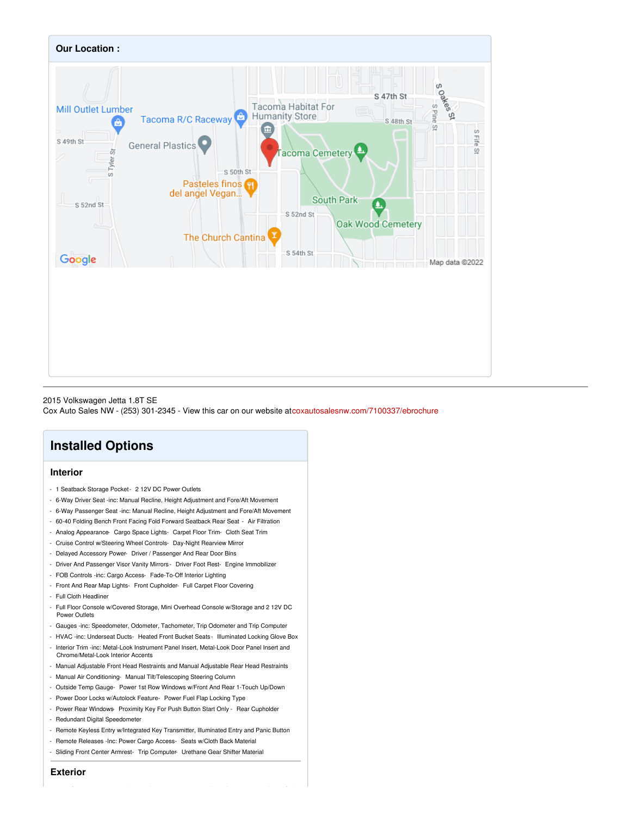

#### 2015 Volkswagen Jetta 1.8T SE

Cox Auto Sales NW - (253) 301-2345 - View this car on our website at[coxautosalesnw.com/7100337/ebrochure](https://coxautosalesnw.com/vehicle/7100337/2015-volkswagen-jetta-1-8t-se-tacoma-wa-98409/7100337/ebrochure)

## **Installed Options**

## **Interior**

- 1 Seatback Storage Pocket 2 12V DC Power Outlets
- 6-Way Driver Seat -inc: Manual Recline, Height Adjustment and Fore/Aft Movement
- 6-Way Passenger Seat -inc: Manual Recline, Height Adjustment and Fore/Aft Movement
- 60-40 Folding Bench Front Facing Fold Forward Seatback Rear Seat Air Filtration
- Analog Appearance- Cargo Space Lights- Carpet Floor Trim- Cloth Seat Trim
- Cruise Control w/Steering Wheel Controls- Day-Night Rearview Mirror
- Delayed Accessory Power- Driver / Passenger And Rear Door Bins
- Driver And Passenger Visor Vanity Mirrors Driver Foot Rest- Engine Immobilizer
- FOB Controls -inc: Cargo Access- Fade-To-Off Interior Lighting
- Front And Rear Map Lights- Front Cupholder- Full Carpet Floor Covering
- Full Cloth Headliner
- Full Floor Console w/Covered Storage, Mini Overhead Console w/Storage and 2 12V DC Power Outlets
- Gauges -inc: Speedometer, Odometer, Tachometer, Trip Odometer and Trip Computer
- HVAC -inc: Underseat Ducts- Heated Front Bucket Seats- Illuminated Locking Glove Box
- Interior Trim -inc: Metal-Look Instrument Panel Insert, Metal-Look Door Panel Insert and Chrome/Metal-Look Interior Accents
- Manual Adjustable Front Head Restraints and Manual Adjustable Rear Head Restraints
- Manual Air Conditioning- Manual Tilt/Telescoping Steering Column
- Outside Temp Gauge- Power 1st Row Windows w/Front And Rear 1-Touch Up/Down
- Power Door Locks w/Autolock Feature- Power Fuel Flap Locking Type
- Power Rear Windows- Proximity Key For Push Button Start Only Rear Cupholder
- Redundant Digital Speedometer
- Remote Keyless Entry w/Integrated Key Transmitter, Illuminated Entry and Panic Button
- Remote Releases -Inc: Power Cargo Access- Seats w/Cloth Back Material
- Sliding Front Center Armrest- Trip Computer- Urethane Gear Shifter Material

**Exterior**